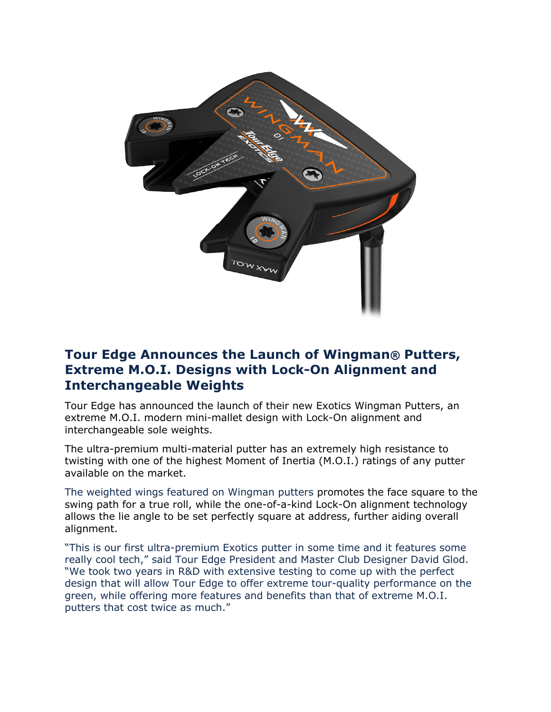

# **Tour Edge Announces the Launch of Wingman® Putters, Extreme M.O.I. Designs with Lock-On Alignment and Interchangeable Weights**

Tour Edge has announced the launch of their new Exotics Wingman Putters, an extreme M.O.I. modern mini-mallet design with Lock-On alignment and interchangeable sole weights.

The ultra-premium multi-material putter has an extremely high resistance to twisting with one of the highest Moment of Inertia (M.O.I.) ratings of any putter available on the market.

The weighted wings featured on Wingman putters promotes the face square to the swing path for a true roll, while the one-of-a-kind Lock-On alignment technology allows the lie angle to be set perfectly square at address, further aiding overall alignment.

"This is our first ultra-premium Exotics putter in some time and it features some really cool tech," said Tour Edge President and Master Club Designer David Glod. "We took two years in R&D with extensive testing to come up with the perfect design that will allow Tour Edge to offer extreme tour-quality performance on the green, while offering more features and benefits than that of extreme M.O.I. putters that cost twice as much."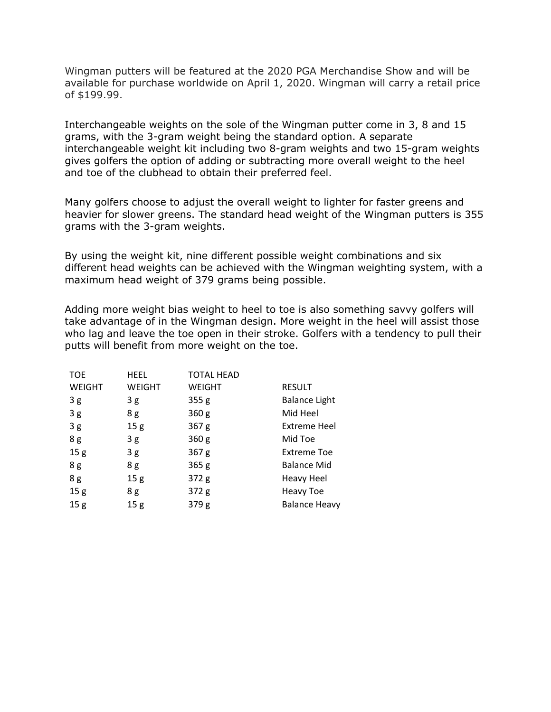Wingman putters will be featured at the 2020 PGA Merchandise Show and will be available for purchase worldwide on April 1, 2020. Wingman will carry a retail price of \$199.99.

Interchangeable weights on the sole of the Wingman putter come in 3, 8 and 15 grams, with the 3-gram weight being the standard option. A separate interchangeable weight kit including two 8-gram weights and two 15-gram weights gives golfers the option of adding or subtracting more overall weight to the heel and toe of the clubhead to obtain their preferred feel.

Many golfers choose to adjust the overall weight to lighter for faster greens and heavier for slower greens. The standard head weight of the Wingman putters is 355 grams with the 3-gram weights.

By using the weight kit, nine different possible weight combinations and six different head weights can be achieved with the Wingman weighting system, with a maximum head weight of 379 grams being possible.

Adding more weight bias weight to heel to toe is also something savvy golfers will take advantage of in the Wingman design. More weight in the heel will assist those who lag and leave the toe open in their stroke. Golfers with a tendency to pull their putts will benefit from more weight on the toe.

| <b>TOE</b>      | <b>HEEL</b>     | <b>TOTAL HEAD</b> |                      |
|-----------------|-----------------|-------------------|----------------------|
| <b>WEIGHT</b>   | <b>WEIGHT</b>   | <b>WEIGHT</b>     | <b>RESULT</b>        |
| 3g              | 3 g             | 355 <sub>g</sub>  | <b>Balance Light</b> |
| 3g              | 8g              | 360 <sub>g</sub>  | Mid Heel             |
| 3g              | 15 <sub>g</sub> | 367 <sub>g</sub>  | <b>Extreme Heel</b>  |
| 8g              | 3g              | 360 <sub>g</sub>  | Mid Toe              |
| 15 <sub>g</sub> | 3g              | 367 <sub>g</sub>  | <b>Extreme Toe</b>   |
| 8g              | 8g              | 365 <sub>g</sub>  | <b>Balance Mid</b>   |
| 8g              | 15 <sub>g</sub> | 372 <sub>g</sub>  | <b>Heavy Heel</b>    |
| 15 <sub>g</sub> | 8g              | 372g              | <b>Heavy Toe</b>     |
| 15 <sub>g</sub> | 15 <sub>g</sub> | 379 <sub>g</sub>  | <b>Balance Heavy</b> |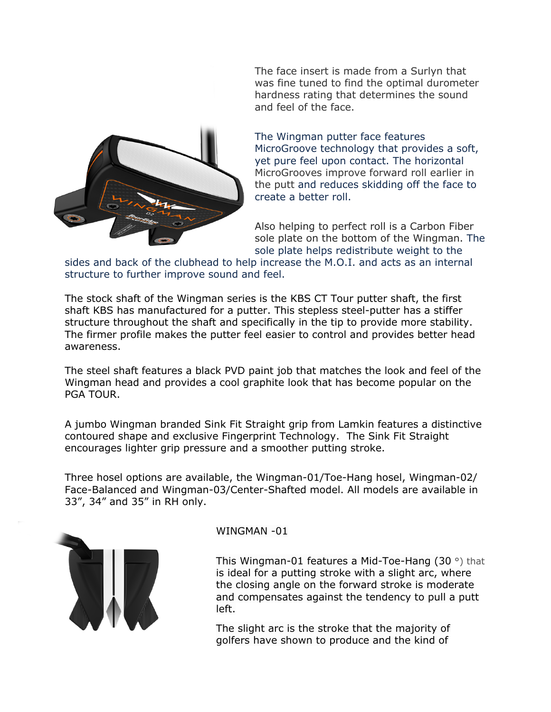

The face insert is made from a Surlyn that was fine tuned to find the optimal durometer hardness rating that determines the sound and feel of the face.

The Wingman putter face features MicroGroove technology that provides a soft, yet pure feel upon contact. The horizontal MicroGrooves improve forward roll earlier in the putt and reduces skidding off the face to create a better roll.

Also helping to perfect roll is a Carbon Fiber sole plate on the bottom of the Wingman. The sole plate helps redistribute weight to the

sides and back of the clubhead to help increase the M.O.I. and acts as an internal structure to further improve sound and feel.

The stock shaft of the Wingman series is the KBS CT Tour putter shaft, the first shaft KBS has manufactured for a putter. This stepless steel-putter has a stiffer structure throughout the shaft and specifically in the tip to provide more stability. The firmer profile makes the putter feel easier to control and provides better head awareness.

The steel shaft features a black PVD paint job that matches the look and feel of the Wingman head and provides a cool graphite look that has become popular on the PGA TOUR.

A jumbo Wingman branded Sink Fit Straight grip from Lamkin features a distinctive contoured shape and exclusive Fingerprint Technology. The Sink Fit Straight encourages lighter grip pressure and a smoother putting stroke.

Three hosel options are available, the Wingman-01/Toe-Hang hosel, Wingman-02/ Face-Balanced and Wingman-03/Center-Shafted model. All models are available in 33", 34" and 35" in RH only.



WINGMAN -01

This Wingman-01 features a Mid-Toe-Hang (30 °) that is ideal for a putting stroke with a slight arc, where the closing angle on the forward stroke is moderate and compensates against the tendency to pull a putt left.

The slight arc is the stroke that the majority of golfers have shown to produce and the kind of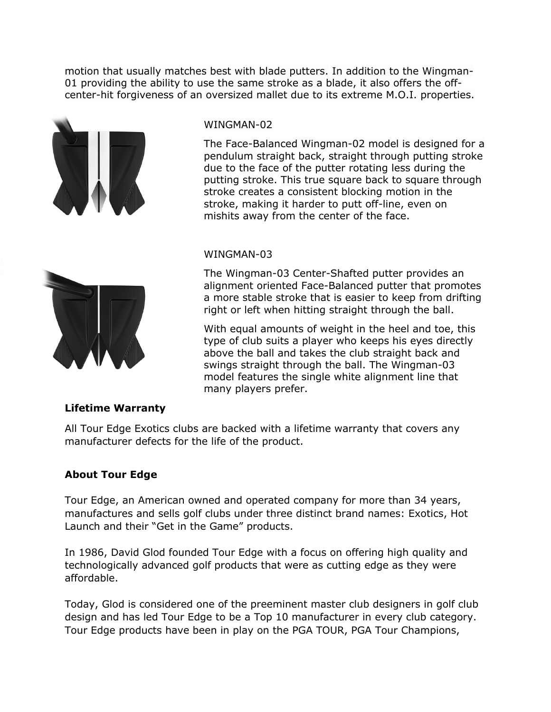motion that usually matches best with blade putters. In addition to the Wingman-01 providing the ability to use the same stroke as a blade, it also offers the offcenter-hit forgiveness of an oversized mallet due to its extreme M.O.I. properties.





#### WINGMAN-02

The Face-Balanced Wingman-02 model is designed for a pendulum straight back, straight through putting stroke due to the face of the putter rotating less during the putting stroke. This true square back to square through stroke creates a consistent blocking motion in the stroke, making it harder to putt off-line, even on mishits away from the center of the face.

### WINGMAN-03

The Wingman-03 Center-Shafted putter provides an alignment oriented Face-Balanced putter that promotes a more stable stroke that is easier to keep from drifting right or left when hitting straight through the ball.

With equal amounts of weight in the heel and toe, this type of club suits a player who keeps his eyes directly above the ball and takes the club straight back and swings straight through the ball. The Wingman-03 model features the single white alignment line that many players prefer.

## **Lifetime Warranty**

All Tour Edge Exotics clubs are backed with a lifetime warranty that covers any manufacturer defects for the life of the product.

## **About Tour Edge**

Tour Edge, an American owned and operated company for more than 34 years, manufactures and sells golf clubs under three distinct brand names: Exotics, Hot Launch and their "Get in the Game" products.

In 1986, David Glod founded Tour Edge with a focus on offering high quality and technologically advanced golf products that were as cutting edge as they were affordable.

Today, Glod is considered one of the preeminent master club designers in golf club design and has led Tour Edge to be a Top 10 manufacturer in every club category. Tour Edge products have been in play on the PGA TOUR, PGA Tour Champions,